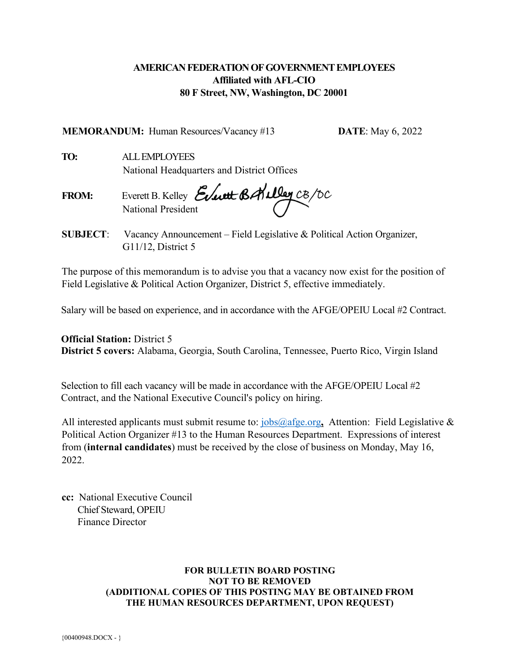# **AMERICAN FEDERATION OF GOVERNMENT EMPLOYEES Affiliated with AFL-CIO 80 F Street, NW, Washington, DC 20001**

**MEMORANDUM:** Human Resources/Vacancy #13 **DATE**: May 6, 2022

**TO:** ALL EMPLOYEES National Headquarters and District Offices

**FROM:** Everett B. Kelley National President

**SUBJECT**: Vacancy Announcement – Field Legislative & Political Action Organizer, G11/12, District 5

The purpose of this memorandum is to advise you that a vacancy now exist for the position of Field Legislative & Political Action Organizer, District 5, effective immediately.

Salary will be based on experience, and in accordance with the AFGE/OPEIU Local #2 Contract.

**Official Station:** District 5 **District 5 covers:** Alabama, Georgia, South Carolina, Tennessee, Puerto Rico, Virgin Island

Selection to fill each vacancy will be made in accordance with the AFGE/OPEIU Local #2 Contract, and the National Executive Council's policy on hiring.

All interested applicants must submit resume to: [jobs@afge.org](mailto:jobs@afge.org), Attention: Field Legislative & Political Action Organizer #13 to the Human Resources Department. Expressions of interest from (**internal candidates**) must be received by the close of business on Monday, May 16, 2022

**cc:** National Executive Council Chief Steward, OPEIU Finance Director

#### **FOR BULLETIN BOARD POSTING NOT TO BE REMOVED (ADDITIONAL COPIES OF THIS POSTING MAY BE OBTAINED FROM THE HUMAN RESOURCES DEPARTMENT, UPON REQUEST)**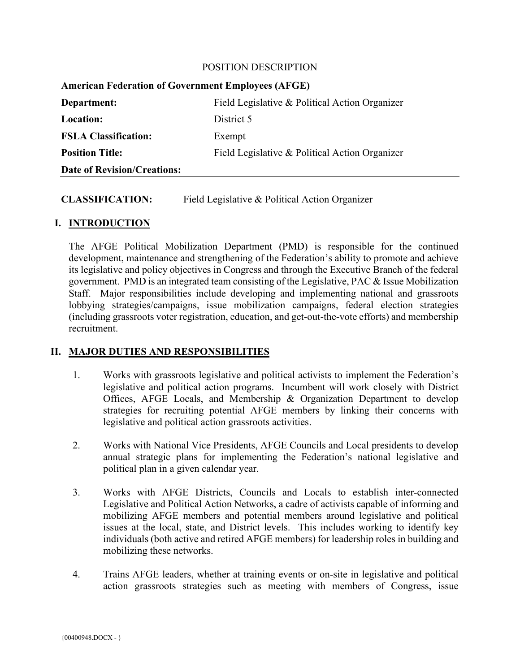#### POSITION DESCRIPTION

| <b>American Federation of Government Employees (AFGE)</b> |                                                |
|-----------------------------------------------------------|------------------------------------------------|
| Department:                                               | Field Legislative & Political Action Organizer |
| <b>Location:</b>                                          | District 5                                     |
| <b>FSLA Classification:</b>                               | Exempt                                         |
| <b>Position Title:</b>                                    | Field Legislative & Political Action Organizer |
| <b>Date of Revision/Creations:</b>                        |                                                |

## **CLASSIFICATION:** Field Legislative & Political Action Organizer

### **I. INTRODUCTION**

The AFGE Political Mobilization Department (PMD) is responsible for the continued development, maintenance and strengthening of the Federation's ability to promote and achieve its legislative and policy objectives in Congress and through the Executive Branch of the federal government. PMD is an integrated team consisting of the Legislative, PAC & Issue Mobilization Staff. Major responsibilities include developing and implementing national and grassroots lobbying strategies/campaigns, issue mobilization campaigns, federal election strategies (including grassroots voter registration, education, and get-out-the-vote efforts) and membership recruitment.

### **II. MAJOR DUTIES AND RESPONSIBILITIES**

- 1. Works with grassroots legislative and political activists to implement the Federation's legislative and political action programs. Incumbent will work closely with District Offices, AFGE Locals, and Membership & Organization Department to develop strategies for recruiting potential AFGE members by linking their concerns with legislative and political action grassroots activities.
- 2. Works with National Vice Presidents, AFGE Councils and Local presidents to develop annual strategic plans for implementing the Federation's national legislative and political plan in a given calendar year.
- 3. Works with AFGE Districts, Councils and Locals to establish inter-connected Legislative and Political Action Networks, a cadre of activists capable of informing and mobilizing AFGE members and potential members around legislative and political issues at the local, state, and District levels. This includes working to identify key individuals (both active and retired AFGE members) for leadership roles in building and mobilizing these networks.
- 4. Trains AFGE leaders, whether at training events or on-site in legislative and political action grassroots strategies such as meeting with members of Congress, issue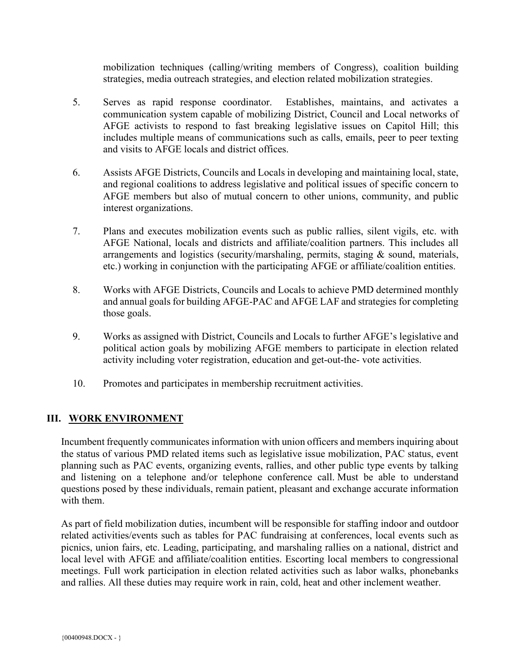mobilization techniques (calling/writing members of Congress), coalition building strategies, media outreach strategies, and election related mobilization strategies.

- 5. Serves as rapid response coordinator. Establishes, maintains, and activates a communication system capable of mobilizing District, Council and Local networks of AFGE activists to respond to fast breaking legislative issues on Capitol Hill; this includes multiple means of communications such as calls, emails, peer to peer texting and visits to AFGE locals and district offices.
- 6. Assists AFGE Districts, Councils and Locals in developing and maintaining local, state, and regional coalitions to address legislative and political issues of specific concern to AFGE members but also of mutual concern to other unions, community, and public interest organizations.
- 7. Plans and executes mobilization events such as public rallies, silent vigils, etc. with AFGE National, locals and districts and affiliate/coalition partners. This includes all arrangements and logistics (security/marshaling, permits, staging & sound, materials, etc.) working in conjunction with the participating AFGE or affiliate/coalition entities.
- 8. Works with AFGE Districts, Councils and Locals to achieve PMD determined monthly and annual goals for building AFGE-PAC and AFGE LAF and strategies for completing those goals.
- 9. Works as assigned with District, Councils and Locals to further AFGE's legislative and political action goals by mobilizing AFGE members to participate in election related activity including voter registration, education and get-out-the- vote activities.
- 10. Promotes and participates in membership recruitment activities.

## **III. WORK ENVIRONMENT**

Incumbent frequently communicates information with union officers and members inquiring about the status of various PMD related items such as legislative issue mobilization, PAC status, event planning such as PAC events, organizing events, rallies, and other public type events by talking and listening on a telephone and/or telephone conference call. Must be able to understand questions posed by these individuals, remain patient, pleasant and exchange accurate information with them.

As part of field mobilization duties, incumbent will be responsible for staffing indoor and outdoor related activities/events such as tables for PAC fundraising at conferences, local events such as picnics, union fairs, etc. Leading, participating, and marshaling rallies on a national, district and local level with AFGE and affiliate/coalition entities. Escorting local members to congressional meetings. Full work participation in election related activities such as labor walks, phonebanks and rallies. All these duties may require work in rain, cold, heat and other inclement weather.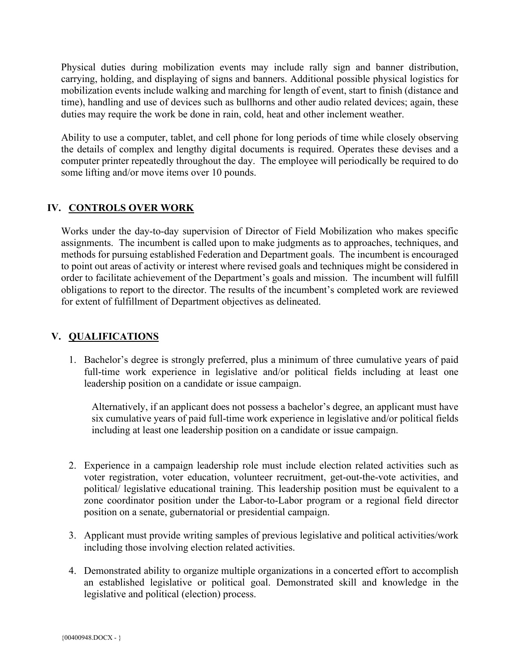Physical duties during mobilization events may include rally sign and banner distribution, carrying, holding, and displaying of signs and banners. Additional possible physical logistics for mobilization events include walking and marching for length of event, start to finish (distance and time), handling and use of devices such as bullhorns and other audio related devices; again, these duties may require the work be done in rain, cold, heat and other inclement weather.

Ability to use a computer, tablet, and cell phone for long periods of time while closely observing the details of complex and lengthy digital documents is required. Operates these devises and a computer printer repeatedly throughout the day. The employee will periodically be required to do some lifting and/or move items over 10 pounds.

## **IV. CONTROLS OVER WORK**

Works under the day-to-day supervision of Director of Field Mobilization who makes specific assignments. The incumbent is called upon to make judgments as to approaches, techniques, and methods for pursuing established Federation and Department goals. The incumbent is encouraged to point out areas of activity or interest where revised goals and techniques might be considered in order to facilitate achievement of the Department's goals and mission. The incumbent will fulfill obligations to report to the director. The results of the incumbent's completed work are reviewed for extent of fulfillment of Department objectives as delineated.

# **V. QUALIFICATIONS**

1. Bachelor's degree is strongly preferred, plus a minimum of three cumulative years of paid full-time work experience in legislative and/or political fields including at least one leadership position on a candidate or issue campaign.

Alternatively, if an applicant does not possess a bachelor's degree, an applicant must have six cumulative years of paid full-time work experience in legislative and/or political fields including at least one leadership position on a candidate or issue campaign.

- 2. Experience in a campaign leadership role must include election related activities such as voter registration, voter education, volunteer recruitment, get-out-the-vote activities, and political/ legislative educational training. This leadership position must be equivalent to a zone coordinator position under the Labor-to-Labor program or a regional field director position on a senate, gubernatorial or presidential campaign.
- 3. Applicant must provide writing samples of previous legislative and political activities/work including those involving election related activities.
- 4. Demonstrated ability to organize multiple organizations in a concerted effort to accomplish an established legislative or political goal. Demonstrated skill and knowledge in the legislative and political (election) process.